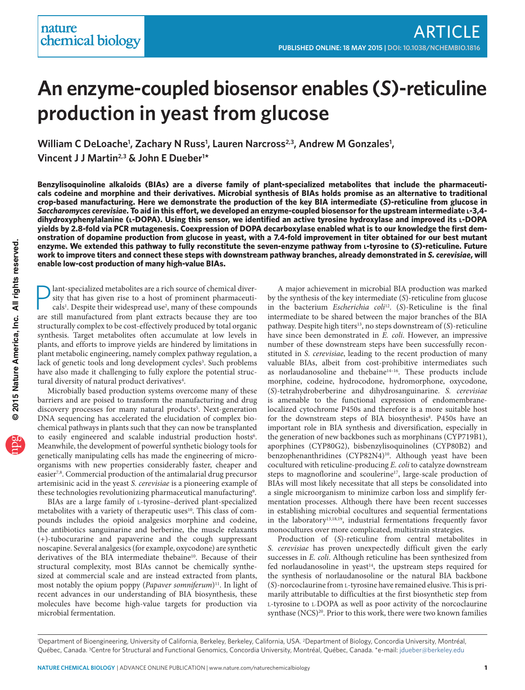# **An enzyme-coupled biosensor enables (***S***)-reticuline production in yeast from glucose**

William C DeLoache<sup>1</sup>, Zachary N Russ<sup>1</sup>, Lauren Narcross<sup>2,3</sup>, Andrew M Gonzales<sup>1</sup>, **Vincent J J Martin2,3 & John E Dueber1 \***

**Benzylisoquinoline alkaloids (BIAs) are a diverse family of plant-specialized metabolites that include the pharmaceuticals codeine and morphine and their derivatives. Microbial synthesis of BIAs holds promise as an alternative to traditional crop-based manufacturing. Here we demonstrate the production of the key BIA intermediate (***S***)-reticuline from glucose in**  *Saccharomyces cerevisiae***. To aid in this effort, we developed an enzyme-coupled biosensor for the upstream intermediate L-3,4 dihydroxyphenylalanine (L-DOPA). Using this sensor, we identified an active tyrosine hydroxylase and improved its L-DOPA yields by 2.8-fold via PCR mutagenesis. Coexpression of DOPA decarboxylase enabled what is to our knowledge the first demonstration of dopamine production from glucose in yeast, with a 7.4-fold improvement in titer obtained for our best mutant enzyme. We extended this pathway to fully reconstitute the seven-enzyme pathway from L-tyrosine to (***S***)-reticuline. Future work to improve titers and connect these steps with downstream pathway branches, already demonstrated in** *S. cerevisiae***, will enable low-cost production of many high-value BIAs.** 

**P** lant-specialized metabolites are a rich source of chemical diversity that has given rise to a host of prominent pharmaceuticals<sup>1</sup>. Despite their widespread use<sup>2</sup>, many of these compounds are still manufactured from p lant-specialized metabolites are a rich source of chemical diversity that has given rise to a host of prominent pharmaceuticals<sup>1</sup>. Despite their widespread use<sup>2</sup>, many of these compounds structurally complex to be cost-effectively produced by total organic synthesis. Target metabolites often accumulate at low levels in plants, and efforts to improve yields are hindered by limitations in plant metabolic engineering, namely complex pathway regulation, a lack of genetic tools and long development cycles<sup>[3](#page-6-2)</sup>. Such problems have also made it challenging to fully explore the potential struc-tural diversity of natural product derivatives<sup>[4](#page-6-3)</sup>.

Microbially based production systems overcome many of these barriers and are poised to transform the manufacturing and drug discovery processes for many natural products<sup>5</sup>. Next-generation DNA sequencing has accelerated the elucidation of complex biochemical pathways in plants such that they can now be transplanted to easily engineered and scalable industrial production hosts<sup>[6](#page-6-5)</sup>. Meanwhile, the development of powerful synthetic biology tools for genetically manipulating cells has made the engineering of microorganisms with new properties considerably faster, cheaper and easier<sup>[7,](#page-6-6)[8](#page-6-7)</sup>. Commercial production of the antimalarial drug precursor artemisinic acid in the yeast *S. cerevisiae* is a pioneering example of these technologies revolutionizing pharmaceutical manufacturing<sup>9</sup>.

BIAs are a large family of L-tyrosine–derived plant-specialized metabolites with a variety of therapeutic uses<sup>[10](#page-6-9)</sup>. This class of compounds includes the opioid analgesics morphine and codeine, the antibiotics sanguinarine and berberine, the muscle relaxants (+)-tubocurarine and papaverine and the cough suppressant noscapine. Several analgesics (for example, oxycodone) are synthetic derivatives of the BIA intermediate thebaine<sup>[10](#page-6-9)</sup>. Because of their structural complexity, most BIAs cannot be chemically synthesized at commercial scale and are instead extracted from plants, most notably the opium poppy (*Papaver somniferum*)<sup>[11](#page-6-10)</sup>. In light of recent advances in our understanding of BIA biosynthesis, these molecules have become high-value targets for production via microbial fermentation.

A major achievement in microbial BIA production was marked by the synthesis of the key intermediate (*S*)-reticuline from glucose in the bacterium *Escherichia coli*[12](#page-6-11) . (*S*)-Reticuline is the final intermediate to be shared between the major branches of the BIA pathway. Despite high titers<sup>13</sup>, no steps downstream of (*S*)-reticuline have since been demonstrated in *E. coli*. However, an impressive number of these downstream steps have been successfully reconstituted in *S. cerevisiae*, leading to the recent production of many valuable BIAs, albeit from cost-prohibitive intermediates such as norlaudanosoline and thebaine $14-16$  $14-16$ . These products include morphine, codeine, hydrocodone, hydromorphone, oxycodone, (*S*)-tetrahydroberberine and dihydrosanguinarine. *S. cerevisiae* is amenable to the functional expression of endomembranelocalized cytochrome P450s and therefore is a more suitable host for the downstream steps of BIA biosynthesis<sup>8</sup>. P450s have an important role in BIA synthesis and diversification, especially in the generation of new backbones such as morphinans (CYP719B1), aporphines (CYP80G2), bisbenzylisoquinolines (CYP80B2) and benzophenanthridines (CYP82N4)<sup>10</sup>. Although yeast have been cocultured with reticuline-producing *E. coli* to catalyze downstream steps to magnoflorine and scoulerine<sup>[17](#page-6-15)</sup>, large-scale production of BIAs will most likely necessitate that all steps be consolidated into a single microorganism to minimize carbon loss and simplify fermentation processes. Although there have been recent successes in establishing microbial cocultures and sequential fermentations in the laboratory<sup>13,[18,](#page-6-16)[19](#page-6-17)</sup>, industrial fermentations frequently favor monocultures over more complicated, multistrain strategies.

Production of (*S*)-reticuline from central metabolites in *S. cerevisiae* has proven unexpectedly difficult given the early successes in *E. coli.* Although reticuline has been synthesized from fed norlaudanosoline in yeast<sup>14</sup>, the upstream steps required for the synthesis of norlaudanosoline or the natural BIA backbone (*S*)-norcoclaurine from L-tyrosine have remained elusive. This is primarily attributable to difficulties at the first biosynthetic step from L-tyrosine to L-DOPA as well as poor activity of the norcoclaurine synthase (NCS)<sup>20</sup>. Prior to this work, there were two known families

<sup>&</sup>lt;sup>1</sup>Department of Bioengineering, University of California, Berkeley, Berkeley, California, USA. <sup>2</sup>Department of Biology, Concordia University, Montréal, Québec, Canada. 3Centre for Structural and Functional Genomics, Concordia University, Montréal, Québec, Canada. \*e-mail: jdueber@berkeley.edu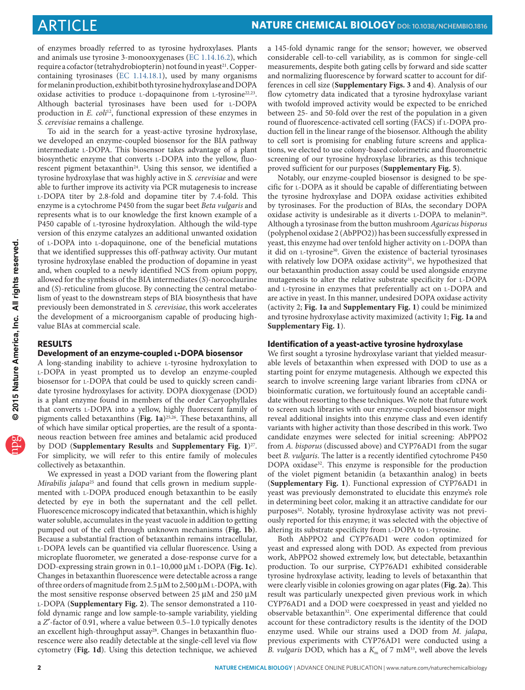of enzymes broadly referred to as tyrosine hydroxylases. Plants and animals use tyrosine 3-monooxygenases [\(EC 1.14.16.2](http://enzyme.expasy.org/EC/1.14.16.2)), which require a cofactor (tetrahydrobiopterin) not found in yeast<sup>21</sup>. Coppercontaining tyrosinases [\(EC 1.14.18.1](http://enzyme.expasy.org/EC/1.14.18.1)), used by many organisms for melanin production, exhibit both tyrosine hydroxylase and DOPA oxidase activities to produce L-dopaquinone from L-tyrosine[22,](#page-6-20)[23](#page-6-21) . Although bacterial tyrosinases have been used for L-DOPA production in *E. coli*[12](#page-6-11) , functional expression of these enzymes in *S. cerevisiae* remains a challenge.

To aid in the search for a yeast-active tyrosine hydroxylase, we developed an enzyme-coupled biosensor for the BIA pathway intermediate L-DOPA. This biosensor takes advantage of a plant biosynthetic enzyme that converts L-DOPA into the yellow, fluo-rescent pigment betaxanthin<sup>[24](#page-6-22)</sup>. Using this sensor, we identified a tyrosine hydroxylase that was highly active in *S. cerevisiae* and were able to further improve its activity via PCR mutagenesis to increase L-DOPA titer by 2.8-fold and dopamine titer by 7.4-fold. This enzyme is a cytochrome P450 from the sugar beet *Beta vulgaris* and represents what is to our knowledge the first known example of a P450 capable of L-tyrosine hydroxylation. Although the wild-type version of this enzyme catalyzes an additional unwanted oxidation of L-DOPA into L-dopaquinone, one of the beneficial mutations that we identified suppresses this off-pathway activity. Our mutant tyrosine hydroxylase enabled the production of dopamine in yeast and, when coupled to a newly identified NCS from opium poppy, allowed for the synthesis of the BIA intermediates (*S*)-norcoclaurine and (*S*)-reticuline from glucose. By connecting the central metabolism of yeast to the downstream steps of BIA biosynthesis that have previously been demonstrated in *S. cerevisiae*, this work accelerates the development of a microorganism capable of producing highvalue BIAs at commercial scale.

# **RESULTS**

# **Development of an enzyme-coupled L-DOPA biosensor**

A long-standing inability to achieve L-tyrosine hydroxylation to L-DOPA in yeast prompted us to develop an enzyme-coupled biosensor for L-DOPA that could be used to quickly screen candidate tyrosine hydroxylases for activity. DOPA dioxygenase (DOD) is a plant enzyme found in members of the order Caryophyllales that converts L-DOPA into a yellow, highly fluorescent family of pigments called betaxanthins (**[Fig. 1a](#page-2-0)**[\)25,](#page-6-23)[26](#page-6-24) . These betaxanthins, all of which have similar optical properties, are the result of a spontaneous reaction between free amines and betalamic acid produced by DOD (**Supplementary Results** and **Supplementary Fig.** 1)<sup>27</sup>. For simplicity, we will refer to this entire family of molecules collectively as betaxanthin.

We expressed in yeast a DOD variant from the flowering plant *Mirabilis jalapa*[25](#page-6-23) and found that cells grown in medium supplemented with L-DOPA produced enough betaxanthin to be easily detected by eye in both the supernatant and the cell pellet. Fluorescence microscopy indicated that betaxanthin, which is highly water soluble, accumulates in the yeast vacuole in addition to getting pumped out of the cell through unknown mechanisms (**[Fig. 1b](#page-2-0)**). Because a substantial fraction of betaxanthin remains intracellular, L-DOPA levels can be quantified via cellular fluorescence. Using a microplate fluorometer, we generated a dose-response curve for a DOD-expressing strain grown in 0.1–10,000 μM L-DOPA (**[Fig. 1c](#page-2-0)**). Changes in betaxanthin fluorescence were detectable across a range of three orders of magnitude from 2.5 μM to 2,500 μM L-DOPA, with the most sensitive response observed between 25 μM and 250 μM L-DOPA (**Supplementary Fig. 2**). The sensor demonstrated a 110 fold dynamic range and low sample-to-sample variability, yielding a *Z*′-factor of 0.91, where a value between 0.5–1.0 typically denotes an excellent high-throughput assay<sup>[28](#page-6-26)</sup>. Changes in betaxanthin fluorescence were also readily detectable at the single-cell level via flow cytometry (**[Fig. 1d](#page-2-0)**). Using this detection technique, we achieved

a 145-fold dynamic range for the sensor; however, we observed considerable cell-to-cell variability, as is common for single-cell measurements, despite both gating cells by forward and side scatter and normalizing fluorescence by forward scatter to account for differences in cell size (**Supplementary Figs. 3** and **4**). Analysis of our flow cytometry data indicated that a tyrosine hydroxylase variant with twofold improved activity would be expected to be enriched between 25- and 50-fold over the rest of the population in a given round of fluorescence-activated cell sorting (FACS) if L-DOPA production fell in the linear range of the biosensor. Although the ability to cell sort is promising for enabling future screens and applications, we elected to use colony-based colorimetric and fluorometric screening of our tyrosine hydroxylase libraries, as this technique proved sufficient for our purposes (**Supplementary Fig. 5**).

Notably, our enzyme-coupled biosensor is designed to be specific for L-DOPA as it should be capable of differentiating between the tyrosine hydroxylase and DOPA oxidase activities exhibited by tyrosinases. For the production of BIAs, the secondary DOPA oxidase activity is undesirable as it diverts L-DOPA to melanin<sup>29</sup>. Although a tyrosinase from the button mushroom *Agaricus bisporus* (polyphenol oxidase 2 (AbPPO2)) has been successfully expressed in yeast, this enzyme had over tenfold higher activity on L-DOPA than it did on L-tyrosine[30](#page-6-28) . Given the existence of bacterial tyrosinases with relatively low DOPA oxidase activity<sup>31</sup>, we hypothesized that our betaxanthin production assay could be used alongside enzyme mutagenesis to alter the relative substrate specificity for L-DOPA and L-tyrosine in enzymes that preferentially act on L-DOPA and are active in yeast. In this manner, undesired DOPA oxidase activity (activity 2; **[Fig. 1a](#page-2-0)** and **Supplementary Fig. 1**) could be minimized and tyrosine hydroxylase activity maximized (activity 1; **[Fig. 1a](#page-2-0)** and **Supplementary Fig. 1**).

#### **Identification of a yeast-active tyrosine hydroxylase**

We first sought a tyrosine hydroxylase variant that yielded measurable levels of betaxanthin when expressed with DOD to use as a starting point for enzyme mutagenesis. Although we expected this search to involve screening large variant libraries from cDNA or bioinformatic curation, we fortuitously found an acceptable candidate without resorting to these techniques. We note that future work to screen such libraries with our enzyme-coupled biosensor might reveal additional insights into this enzyme class and even identify variants with higher activity than those described in this work. Two candidate enzymes were selected for initial screening: AbPPO2 from *A. bisporus* (discussed above) and CYP76AD1 from the sugar beet *B. vulgaris*. The latter is a recently identified cytochrome P450 DOPA oxidase<sup>32</sup>. This enzyme is responsible for the production of the violet pigment betanidin (a betaxanthin analog) in beets (**Supplementary Fig. 1**). Functional expression of CYP76AD1 in yeast was previously demonstrated to elucidate this enzyme's role in determining beet color, making it an attractive candidate for our purposes<sup>32</sup>. Notably, tyrosine hydroxylase activity was not previously reported for this enzyme; it was selected with the objective of altering its substrate specificity from L-DOPA to L-tyrosine.

Both AbPPO2 and CYP76AD1 were codon optimized for yeast and expressed along with DOD. As expected from previous work, AbPPO2 showed extremely low, but detectable, betaxanthin production. To our surprise, CYP76AD1 exhibited considerable tyrosine hydroxylase activity, leading to levels of betaxanthin that were clearly visible in colonies growing on agar plates (**[Fig. 2a](#page-3-0)**). This result was particularly unexpected given previous work in which CYP76AD1 and a DOD were coexpressed in yeast and yielded no observable betaxanthin<sup>32</sup>. One experimental difference that could account for these contradictory results is the identity of the DOD enzyme used. While our strains used a DOD from *M. jalapa*, previous experiments with CYP76AD1 were conducted using a *B. vulgaris* DOD, which has a  $K<sub>m</sub>$  of 7 mM<sup>33</sup>, well above the levels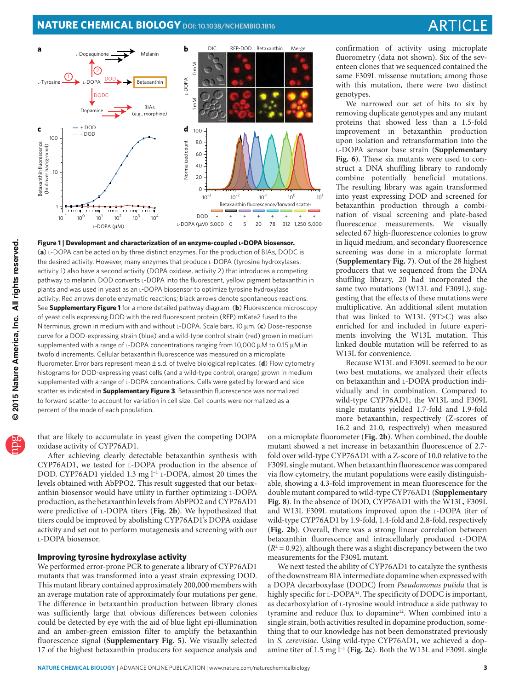

<span id="page-2-0"></span>**Figure 1 | Development and characterization of an enzyme-coupled L-DOPA biosensor.**  (**a**) L-DOPA can be acted on by three distinct enzymes. For the production of BIAs, DODC is

the desired activity. However, many enzymes that produce L-DOPA (tyrosine hydroxylases, activity 1) also have a second activity (DOPA oxidase, activity 2) that introduces a competing pathway to melanin. DOD converts L-DOPA into the fluorescent, yellow pigment betaxanthin in plants and was used in yeast as an L-DOPA biosensor to optimize tyrosine hydroxylase activity. Red arrows denote enzymatic reactions; black arrows denote spontaneous reactions. See **Supplementary Figure 1** for a more detailed pathway diagram. (**b**) Fluorescence microscopy of yeast cells expressing DOD with the red fluorescent protein (RFP) mKate2 fused to the N terminus, grown in medium with and without L-DOPA. Scale bars, 10 μm. (**c**) Dose-response curve for a DOD-expressing strain (blue) and a wild-type control strain (red) grown in medium supplemented with a range of L-DOPA concentrations ranging from 10,000 μM to 0.15 μM in twofold increments. Cellular betaxanthin fluorescence was measured on a microplate fluorometer. Error bars represent mean ± s.d. of twelve biological replicates. (**d**) Flow cytometry histograms for DOD-expressing yeast cells (and a wild-type control, orange) grown in medium supplemented with a range of L-DOPA concentrations. Cells were gated by forward and side scatter as indicated in **Supplementary Figure 3**. Betaxanthin fluorescence was normalized to forward scatter to account for variation in cell size. Cell counts were normalized as a percent of the mode of each population.

that are likely to accumulate in yeast given the competing DOPA oxidase activity of CYP76AD1.

After achieving clearly detectable betaxanthin synthesis with CYP76AD1, we tested for L-DOPA production in the absence of DOD. CYP76AD1 yielded 1.3 mg l<sup>-1</sup> L-DOPA, almost 20 times the levels obtained with AbPPO2. This result suggested that our betaxanthin biosensor would have utility in further optimizing L-DOPA production, as the betaxanthin levels from AbPPO2 and CYP76AD1 were predictive of L-DOPA titers (**[Fig. 2b](#page-3-0)**). We hypothesized that titers could be improved by abolishing CYP76AD1's DOPA oxidase activity and set out to perform mutagenesis and screening with our L-DOPA biosensor.

# **Improving tyrosine hydroxylase activity**

We performed error-prone PCR to generate a library of CYP76AD1 mutants that was transformed into a yeast strain expressing DOD. This mutant library contained approximately 200,000 members with an average mutation rate of approximately four mutations per gene. The difference in betaxanthin production between library clones was sufficiently large that obvious differences between colonies could be detected by eye with the aid of blue light epi*-*illumination and an amber-green emission filter to amplify the betaxanthin fluorescence signal (**Supplementary Fig. 5**). We visually selected 17 of the highest betaxanthin producers for sequence analysis and

confirmation of activity using microplate fluorometry (data not shown). Six of the seventeen clones that we sequenced contained the same F309L missense mutation; among those with this mutation, there were two distinct genotypes.

We narrowed our set of hits to six by removing duplicate genotypes and any mutant proteins that showed less than a 1.5-fold improvement in betaxanthin production upon isolation and retransformation into the L-DOPA sensor base strain (**Supplementary Fig. 6**). These six mutants were used to construct a DNA shuffling library to randomly combine potentially beneficial mutations. The resulting library was again transformed into yeast expressing DOD and screened for betaxanthin production through a combination of visual screening and plate-based fluorescence measurements. We visually selected 67 high-fluorescence colonies to grow in liquid medium, and secondary fluorescence screening was done in a microplate format (**Supplementary Fig. 7**). Out of the 28 highest producers that we sequenced from the DNA shuffling library, 20 had incorporated the same two mutations (W13L and F309L), suggesting that the effects of these mutations were multiplicative. An additional silent mutation that was linked to W13L (9T>C) was also enriched for and included in future experiments involving the W13L mutation. This linked double mutation will be referred to as W13L for convenience.

Because W13L and F309L seemed to be our two best mutations, we analyzed their effects on betaxanthin and L-DOPA production individually and in combination. Compared to wild-type CYP76AD1, the W13L and F309L single mutants yielded 1.7-fold and 1.9-fold more betaxanthin, respectively (Z-scores of 16.2 and 21.0, respectively) when measured

on a microplate fluorometer (**[Fig. 2b](#page-3-0)**). When combined, the double mutant showed a net increase in betaxanthin fluorescence of 2.7 fold over wild-type CYP76AD1 with a Z-score of 10.0 relative to the F309L single mutant. When betaxanthin fluorescence was compared via flow cytometry, the mutant populations were easily distinguishable, showing a 4.3-fold improvement in mean fluorescence for the double mutant compared to wild-type CYP76AD1 (**Supplementary Fig. 8**). In the absence of DOD, CYP76AD1 with the W13L, F309L and W13L F309L mutations improved upon the L-DOPA titer of wild-type CYP76AD1 by 1.9-fold, 1.4-fold and 2.8-fold, respectively (**[Fig. 2b](#page-3-0)**). Overall, there was a strong linear correlation between betaxanthin fluorescence and intracellularly produced L-DOPA  $(R<sup>2</sup> = 0.92)$ , although there was a slight discrepancy between the two measurements for the F309L mutant.

We next tested the ability of CYP76AD1 to catalyze the synthesis of the downstream BIA intermediate dopamine when expressed with a DOPA decarboxylase (DODC) from *Pseudomonas putida* that is highly specific for L-DOPA<sup>[34](#page-6-32)</sup>. The specificity of DODC is important, as decarboxylation of L-tyrosine would introduce a side pathway to tyramine and reduce flux to dopamine<sup>[12](#page-6-11)</sup>. When combined into a single strain, both activities resulted in dopamine production, something that to our knowledge has not been demonstrated previously in *S. cerevisiae*. Using wild-type CYP76AD1, we achieved a dopamine titer of 1.5 mg l−1 (**[Fig. 2c](#page-3-0)**). Both the W13L and F309L single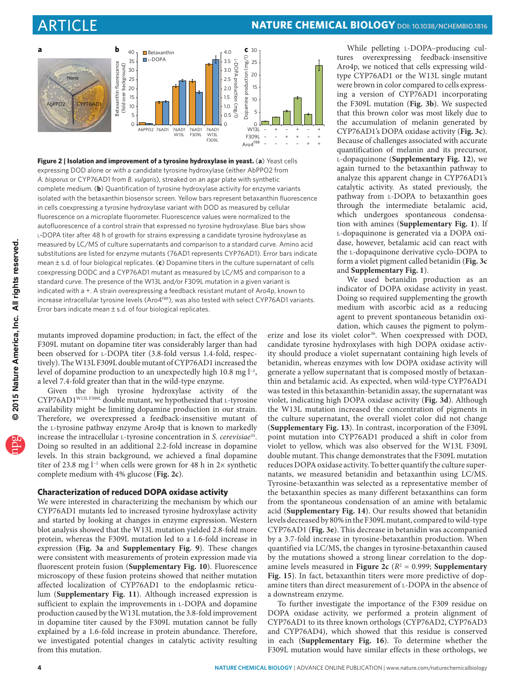

<span id="page-3-0"></span>**Figure 2 | Isolation and improvement of a tyrosine hydroxylase in yeast.** (**a**) Yeast cells expressing DOD alone or with a candidate tyrosine hydroxylase (either AbPPO2 from *A. bisporus* or CYP76AD1 from *B. vulgaris*), streaked on an agar plate with synthetic complete medium. (**b**) Quantification of tyrosine hydroxylase activity for enzyme variants isolated with the betaxanthin biosensor screen. Yellow bars represent betaxanthin fluorescence in cells coexpressing a tyrosine hydroxylase variant with DOD as measured by cellular fluorescence on a microplate fluorometer. Fluorescence values were normalized to the autofluorescence of a control strain that expressed no tyrosine hydroxylase. Blue bars show L-DOPA titer after 48 h of growth for strains expressing a candidate tyrosine hydroxylase as measured by LC/MS of culture supernatants and comparison to a standard curve. Amino acid substitutions are listed for enzyme mutants (76AD1 represents CYP76AD1). Error bars indicate mean ± s.d. of four biological replicates. (**c**) Dopamine titers in the culture supernatant of cells coexpressing DODC and a CYP76AD1 mutant as measured by LC/MS and comparison to a standard curve. The presence of the W13L and/or F309L mutation in a given variant is indicated with a +. A strain overexpressing a feedback resistant mutant of Aro4p, known to increase intracellular tyrosine levels (Aro4<sup>FBR</sup>), was also tested with select CYP76AD1 variants. Error bars indicate mean  $\pm$  s.d. of four biological replicates.

mutants improved dopamine production; in fact, the effect of the F309L mutant on dopamine titer was considerably larger than had been observed for L-DOPA titer (3.8-fold versus 1.4-fold, respectively). The W13L F309L double mutant of CYP76AD1 increased the level of dopamine production to an unexpectedly high 10.8 mg l−1, a level 7.4-fold greater than that in the wild-type enzyme.

Given the high tyrosine hydroxylase activity of the CYP76AD1<sup>W13L F309L</sup> double mutant, we hypothesized that L-tyrosine availability might be limiting dopamine production in our strain. Therefore, we overexpressed a feedback-insensitive mutant of the L-tyrosine pathway enzyme Aro4p that is known to markedly increase the intracellular L-tyrosine concentration in *S. cerevisiae*[35](#page-6-33) . Doing so resulted in an additional 2.2-fold increase in dopamine levels. In this strain background, we achieved a final dopamine titer of 23.8 mg l−1 when cells were grown for 48 h in 2× synthetic complete medium with 4% glucose (**[Fig. 2c](#page-3-0)**).

#### **Characterization of reduced DOPA oxidase activity**

We were interested in characterizing the mechanism by which our CYP76AD1 mutants led to increased tyrosine hydroxylase activity and started by looking at changes in enzyme expression. Western blot analysis showed that the W13L mutation yielded 2.8-fold more protein, whereas the F309L mutation led to a 1.6-fold increase in expression (**[Fig. 3a](#page-4-0)** and **Supplementary Fig. 9**). These changes were consistent with measurements of protein expression made via fluorescent protein fusion (**Supplementary Fig. 10**). Fluorescence microscopy of these fusion proteins showed that neither mutation affected localization of CYP76AD1 to the endoplasmic reticulum (**Supplementary Fig. 11**). Although increased expression is sufficient to explain the improvements in L-DOPA and dopamine production caused by the W13L mutation, the 3.8-fold improvement in dopamine titer caused by the F309L mutation cannot be fully explained by a 1.6-fold increase in protein abundance. Therefore, we investigated potential changes in catalytic activity resulting from this mutation.

While pelleting L-DOPA-producing cultures overexpressing feedback-insensitive Aro4p, we noticed that cells expressing wildtype CYP76AD1 or the W13L single mutant were brown in color compared to cells expressing a version of CYP76AD1 incorporating the F309L mutation (**[Fig. 3b](#page-4-0)**). We suspected that this brown color was most likely due to the accumulation of melanin generated by CYP76AD1's DOPA oxidase activity (**[Fig. 3c](#page-4-0)**). Because of challenges associated with accurate quantification of melanin and its precursor, L-dopaquinone (**Supplementary Fig. 12**), we again turned to the betaxanthin pathway to analyze this apparent change in CYP76AD1's catalytic activity. As stated previously, the pathway from L-DOPA to betaxanthin goes through the intermediate betalamic acid, which undergoes spontaneous condensation with amines (**Supplementary Fig. 1**). If L-dopaquinone is generated via a DOPA oxidase, however, betalamic acid can react with the L-dopaquinone derivative cyclo-DOPA to form a violet pigment called betanidin (**[Fig. 3c](#page-4-0)** and **Supplementary Fig. 1**).

We used betanidin production as an indicator of DOPA oxidase activity in yeast. Doing so required supplementing the growth medium with ascorbic acid as a reducing agent to prevent spontaneous betanidin oxidation, which causes the pigment to polym-

erize and lose its violet color<sup>[36](#page-6-34)</sup>. When coexpressed with DOD, candidate tyrosine hydroxylases with high DOPA oxidase activity should produce a violet supernatant containing high levels of betanidin, whereas enzymes with low DOPA oxidase activity will generate a yellow supernatant that is composed mostly of betaxanthin and betalamic acid. As expected, when wild-type CYP76AD1 was tested in this betaxanthin-betanidin assay, the supernatant was violet, indicating high DOPA oxidase activity (**[Fig. 3d](#page-4-0)**). Although the W13L mutation increased the concentration of pigments in the culture supernatant, the overall violet color did not change (**Supplementary Fig. 13**). In contrast, incorporation of the F309L point mutation into CYP76AD1 produced a shift in color from violet to yellow, which was also observed for the W13L F309L double mutant. This change demonstrates that the F309L mutation reduces DOPA oxidase activity. To better quantify the culture supernatants, we measured betanidin and betaxanthin using LC/MS. Tyrosine-betaxanthin was selected as a representative member of the betaxanthin species as many different betaxanthins can form from the spontaneous condensation of an amine with betalamic acid (**Supplementary Fig. 14**). Our results showed that betanidin levels decreased by 80% in the F309L mutant, compared to wild-type CYP76AD1 (**[Fig. 3e](#page-4-0)**). This decrease in betanidin was accompanied by a 3.7-fold increase in tyrosine-betaxanthin production. When quantified via LC/MS, the changes in tyrosine-betaxanthin caused by the mutations showed a strong linear correlation to the dopamine levels measured in **[Figure 2c](#page-3-0)** ( $R^2 = 0.999$ ; **Supplementary** Fig. 15). In fact, betaxanthin titers were more predictive of dopamine titers than direct measurement of L-DOPA in the absence of a downstream enzyme.

To further investigate the importance of the F309 residue on DOPA oxidase activity, we performed a protein alignment of CYP76AD1 to its three known orthologs (CYP76AD2, CYP76AD3 and CYP76AD4), which showed that this residue is conserved in each (**Supplementary Fig. 16**). To determine whether the F309L mutation would have similar effects in these orthologs, we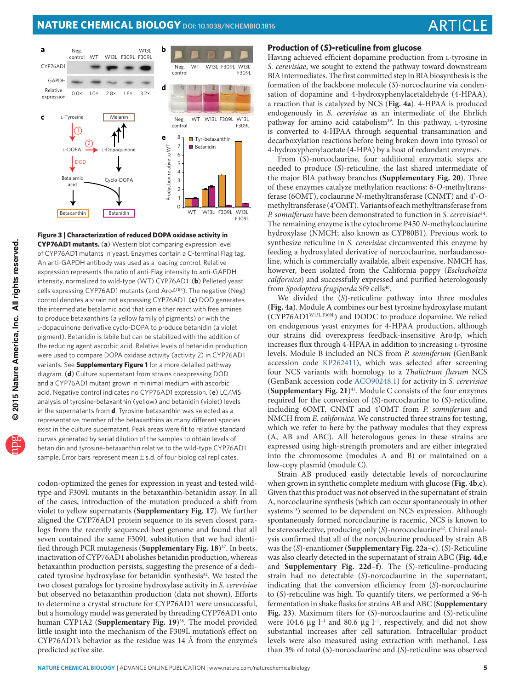

<span id="page-4-0"></span>**Figure 3 | Characterization of reduced DOPA oxidase activity in CYP76AD1 mutants.** (**a**) Western blot comparing expression level of CYP76AD1 mutants in yeast. Enzymes contain a C-terminal Flag tag. An anti-GAPDH antibody was used as a loading control. Relative expression represents the ratio of anti-Flag intensity to anti-GAPDH intensity, normalized to wild-type (WT) CYP76AD1. (**b**) Pelleted yeast cells expressing CYP76AD1 mutants (and Aro4FBR). The negative (Neg) control denotes a strain not expressing CYP76AD1. (**c**) DOD generates the intermediate betalamic acid that can either react with free amines to produce betaxanthins (a yellow family of pigments) or with the L-dopaquinone derivative cyclo-DOPA to produce betanidin (a violet pigment). Betanidin is labile but can be stabilized with the addition of the reducing agent ascorbic acid. Relative levels of betanidin production were used to compare DOPA oxidase activity (activity 2) in CYP76AD1 variants. See **Supplementary Figure 1** for a more detailed pathway diagram. (**d**) Culture supernatant from strains coexpressing DOD and a CYP76AD1 mutant grown in minimal medium with ascorbic acid. Negative control indicates no CYP76AD1 expression. (**e**) LC/MS analysis of tyrosine-betaxanthin (yellow) and betanidin (violet) levels in the supernatants from **d**. Tyrosine-betaxanthin was selected as a representative member of the betaxanthins as many different species exist in the culture supernatant. Peak areas were fit to relative standard curves generated by serial dilution of the samples to obtain levels of betanidin and tyrosine-betaxanthin relative to the wild-type CYP76AD1 sample. Error bars represent mean  $\pm$  s.d. of four biological replicates.

codon-optimized the genes for expression in yeast and tested wildtype and F309L mutants in the betaxanthin-betanidin assay. In all of the cases, introduction of the mutation produced a shift from violet to yellow supernatants (**Supplementary Fig. 17**). We further aligned the CYP76AD1 protein sequence to its seven closest paralogs from the recently sequenced beet genome and found that all seven contained the same F309L substitution that we had identified through PCR mutagenesis (**Supplementary Fig. 18**[\)37](#page-6-35) . In beets, inactivation of CYP76AD1 abolishes betanidin production, whereas betaxanthin production persists, suggesting the presence of a dedicated tyrosine hydroxylase for betanidin synthesis<sup>32</sup>. We tested the two closest paralogs for tyrosine hydroxylase activity in *S. cerevisiae* but observed no betaxanthin production (data not shown). Efforts to determine a crystal structure for CYP76AD1 were unsuccessful, but a homology model was generated by threading CYP76AD1 onto human CYP1A2 (Supplementary Fig. 19)<sup>[38](#page-6-36)</sup>. The model provided little insight into the mechanism of the F309L mutation's effect on CYP76AD1's behavior as the residue was 14 Å from the enzyme's predicted active site.

# **Production of (***S***)-reticuline from glucose**

Having achieved efficient dopamine production from L-tyrosine in *S. cerevisiae*, we sought to extend the pathway toward downstream BIA intermediates. The first committed step in BIA biosynthesis is the formation of the backbone molecule (*S*)-norcoclaurine via condensation of dopamine and 4-hydroxyphenylacetaldehyde (4-HPAA), a reaction that is catalyzed by NCS (**[Fig. 4a](#page-5-0)**). 4-HPAA is produced endogenously in *S. cerevisiae* as an intermediate of the Ehrlich pathway for amino acid catabolism<sup>39</sup>. In this pathway, *L*-tyrosine is converted to 4-HPAA through sequential transamination and decarboxylation reactions before being broken down into tyrosol or 4-hydroxyphenylacetate (4-HPA) by a host of redundant enzymes.

From (*S*)-norcoclaurine, four additional enzymatic steps are needed to produce (*S*)-reticuline, the last shared intermediate of the major BIA pathway branches (**Supplementary Fig. 20**). Three of these enzymes catalyze methylation reactions: 6-*O*-methyltransferase (6OMT), coclaurine *N*-methyltransferase (CNMT) and 4′-*O*methyltransferase (4′OMT). Variants of each methyltransferase from *P. somniferum* have been demonstrated to function in *S. cerevisiae*[14](#page-6-13) . The remaining enzyme is the cytochrome P450 *N*-methylcoclaurine hydroxylase (NMCH; also known as CYP80B1). Previous work to synthesize reticuline in *S. cerevisiae* circumvented this enzyme by feeding a hydroxylated derivative of norcoclaurine, norlaudanosoline, which is commercially available, albeit expensive. NMCH has, however, been isolated from the California poppy (*Eschscholzia californica*) and successfully expressed and purified heterologously from *Spodoptera frugiperda Sf*9 cells<sup>[40](#page-6-38)</sup>.

We divided the (*S*)-reticuline pathway into three modules (**[Fig. 4a](#page-5-0)**). Module A combines our best tyrosine hydroxylase mutant (CYP76AD1W13L F309L) and DODC to produce dopamine. We relied on endogenous yeast enzymes for 4-HPAA production, although our strains did overexpress feedback-insensitive Aro4p, which increases flux through 4-HPAA in addition to increasing L-tyrosine levels. Module B included an NCS from *P. somniferum* (GenBank accession code [KP262411](http://www.ncbi.nlm.nih.gov/nuccore/KP262411)), which was selected after screening four NCS variants with homology to a *Thalictrum flavum* NCS (GenBank accession code [ACO90248.1](http://www.ncbi.nlm.nih.gov/nuccore/ACO90248.1)) for activity in *S. cerevisiae* (**Supplementary Fig. 21**)[41](#page-6-39) . Module C consists of the four enzymes required for the conversion of (*S*)-norcoclaurine to (*S*)-reticuline, including 6OMT, CNMT and 4′OMT from *P. somniferum* and NMCH from *E. californica*. We constructed three strains for testing, which we refer to here by the pathway modules that they express (A, AB and ABC). All heterologous genes in these strains are expressed using high-strength promoters and are either integrated into the chromosome (modules A and B) or maintained on a low-copy plasmid (module C).

Strain AB produced easily detectable levels of norcoclaurine when grown in synthetic complete medium with glucose (**[Fig. 4b](#page-5-0)**,**c**). Given that this product was not observed in the supernatant of strain A, norcoclaurine synthesis (which can occur spontaneously in other systems<sup>13</sup>) seemed to be dependent on NCS expression. Although spontaneously formed norcoclaurine is racemic, NCS is known to be stereoselective, producing only (S)-norococlaurine<sup>[42](#page-6-40)</sup>. Chiral analysis confirmed that all of the norcoclaurine produced by strain AB was the (*S*)-enantiomer (**Supplementary Fig. 22a**–**c**). (*S*)-Reticuline was also clearly detected in the supernatant of strain ABC (**[Fig. 4d](#page-5-0)**,**e** and **Supplementary Fig. 22d**–**f**). The (*S*)-reticuline–producing strain had no detectable (*S*)-norcoclaurine in the supernatant, indicating that the conversion efficiency from (*S*)-norcoclaurine to (*S*)-reticuline was high. To quantify titers, we performed a 96-h fermentation in shake flasks for strains AB and ABC (**Supplementary Fig. 23**). Maximum titers for (*S*)-norcoclaurine and (*S*)-reticuline were 104.6 μg l<sup>-1</sup> and 80.6 μg l<sup>-1</sup>, respectively, and did not show substantial increases after cell saturation. Intracellular product levels were also measured using extraction with methanol. Less than 3% of total (*S*)-norcoclaurine and (*S*)-reticuline was observed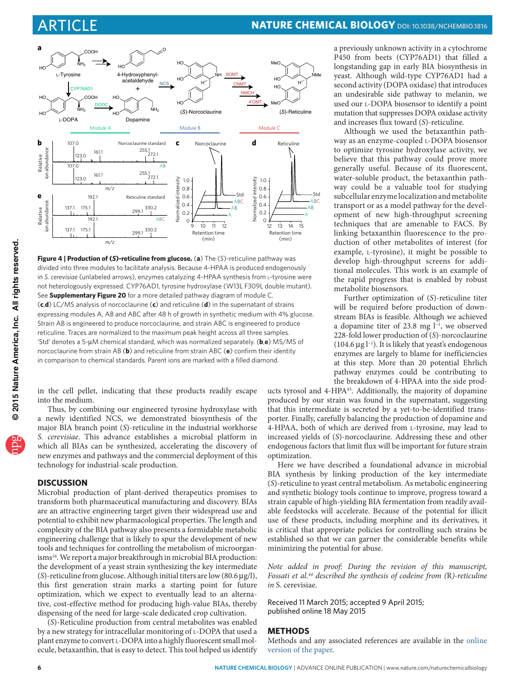

<span id="page-5-0"></span>**Figure 4 | Production of (***S***)-reticuline from glucose.** (**a**) The (*S*)-reticuline pathway was divided into three modules to facilitate analysis. Because 4-HPAA is produced endogenously in *S. cerevisiae* (unlabeled arrows), enzymes catalyzing 4-HPAA synthesis from L-tyrosine were not heterologously expressed. CYP76AD1, tyrosine hydroxylase (W13L F309L double mutant). See **Supplementary Figure 20** for a more detailed pathway diagram of module C. (**c**,**d**) LC/MS analysis of norcoclaurine (**c**) and reticuline (**d**) in the supernatant of strains expressing modules A, AB and ABC after 48 h of growth in synthetic medium with 4% glucose. Strain AB is engineered to produce norcoclaurine, and strain ABC is engineered to produce reticuline. Traces are normalized to the maximum peak height across all three samples. 'Std' denotes a 5-μM chemical standard, which was normalized separately. (**b**,**e**) MS/MS of norcoclaurine from strain AB (**b**) and reticuline from strain ABC (**e**) confirm their identity in comparison to chemical standards. Parent ions are marked with a filled diamond.

in the cell pellet, indicating that these products readily escape into the medium.

Thus, by combining our engineered tyrosine hydroxylase with a newly identified NCS, we demonstrated biosynthesis of the major BIA branch point (*S*)-reticuline in the industrial workhorse *S. cerevisiae*. This advance establishes a microbial platform in which all BIAs can be synthesized, accelerating the discovery of new enzymes and pathways and the commercial deployment of this technology for industrial-scale production.

### **DISCUSSION**

Microbial production of plant-derived therapeutics promises to transform both pharmaceutical manufacturing and discovery. BIAs are an attractive engineering target given their widespread use and potential to exhibit new pharmacological properties. The length and complexity of the BIA pathway also presents a formidable metabolic engineering challenge that is likely to spur the development of new tools and techniques for controlling the metabolism of microorganism[s16](#page-6-14) . We report a major breakthrough in microbial BIA production: the development of a yeast strain synthesizing the key intermediate (*S*)-reticuline from glucose. Although initial titers are low (80.6 μg/l), this first generation strain marks a starting point for future optimization, which we expect to eventually lead to an alternative, cost-effective method for producing high-value BIAs, thereby dispensing of the need for large-scale dedicated crop cultivation.

(*S*)-Reticuline production from central metabolites was enabled by a new strategy for intracellular monitoring of L-DOPA that used a plant enzyme to convert L-DOPA into a highly fluorescent small molecule, betaxanthin, that is easy to detect. This tool helped us identify a previously unknown activity in a cytochrome P450 from beets (CYP76AD1) that filled a longstanding gap in early BIA biosynthesis in yeast. Although wild-type CYP76AD1 had a second activity (DOPA oxidase) that introduces an undesirable side pathway to melanin, we used our L-DOPA biosensor to identify a point mutation that suppresses DOPA oxidase activity and increases flux toward (*S*)-reticuline.

Although we used the betaxanthin pathway as an enzyme-coupled L-DOPA biosensor to optimize tyrosine hydroxylase activity, we believe that this pathway could prove more generally useful. Because of its fluorescent, water-soluble product, the betaxanthin pathway could be a valuable tool for studying subcellular enzyme localization and metabolite transport or as a model pathway for the development of new high-throughput screening techniques that are amenable to FACS. By linking betaxanthin fluorescence to the production of other metabolites of interest (for example, L-tyrosine), it might be possible to develop high-throughput screens for additional molecules. This work is an example of the rapid progress that is enabled by robust metabolite biosensors.

Further optimization of (*S*)-reticuline titer will be required before production of downstream BIAs is feasible. Although we achieved a dopamine titer of 23.8 mg l−1, we observed 228-fold lower production of (*S*)-norcoclaurine (104.6  $\mu$ g l<sup>−1</sup>). It is likely that yeast's endogenous enzymes are largely to blame for inefficiencies at this step. More than 20 potential Ehrlich pathway enzymes could be contributing to the breakdown of 4-HPAA into the side prod-

ucts tyrosol and 4-HPA[43](#page-6-41) . Additionally, the majority of dopamine produced by our strain was found in the supernatant, suggesting that this intermediate is secreted by a yet-to-be-identified transporter. Finally, carefully balancing the production of dopamine and 4-HPAA, both of which are derived from L-tyrosine, may lead to increased yields of (*S*)-norcoclaurine. Addressing these and other endogenous factors that limit flux will be important for future strain optimization.

Here we have described a foundational advance in microbial BIA synthesis by linking production of the key intermediate (*S*)-reticuline to yeast central metabolism. As metabolic engineering and synthetic biology tools continue to improve, progress toward a strain capable of high-yielding BIA fermentation from readily available feedstocks will accelerate. Because of the potential for illicit use of these products, including morphine and its derivatives, it is critical that appropriate policies for controlling such strains be established so that we can garner the considerable benefits while minimizing the potential for abuse.

*Note added in proof: During the revision of this manuscript, Fossati et al.44 described the synthesis of codeine from (*R*)-reticuline in* S. cerevisiae.

Received 11 March 2015; accepted 9 April 2015; published online 18 May 2015

#### **Methods**

Methods and any associated references are available in the [online](http://www.nature.com/doifinder/10.1038/nchembio.1816) [version](http://www.nature.com/doifinder/10.1038/nchembio.1816) of the paper.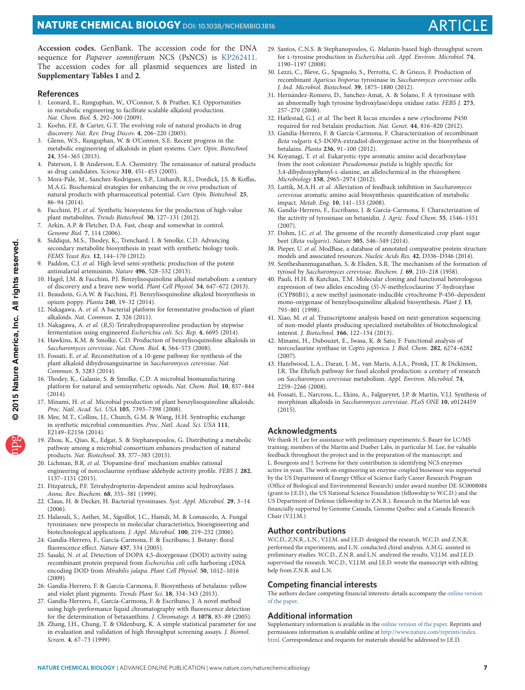# **NATURE CHEMICAL BIOLOGY** DOI: 10.1038/NCHEMBIO.1816 **article article article article article article article article article article article article article article article article article article article article article**

**Accession codes.** GenBank. The accession code for the DNA sequence for *Papaver somniferum* NCS (PsNCS) is [KP262411.](http://www.ncbi.nlm.nih.gov/nuccore/KP262411) The accession codes for all plasmid sequences are listed in **Supplementary Tables 1** and **2**.

#### **References**

- <span id="page-6-0"></span>1. Leonard, E., Runguphan, W., O'Connor, S. & Prather, K.J. Opportunities in metabolic engineering to facilitate scalable alkaloid production. *Nat. Chem. Biol.* **5**, 292–300 (2009).
- <span id="page-6-1"></span>2. Koehn, F.E. & Carter, G.T. The evolving role of natural products in drug discovery. *Nat. Rev. Drug Discov.* **4**, 206–220 (2005).
- <span id="page-6-2"></span>3. Glenn, W.S., Runguphan, W. & O'Connor, S.E. Recent progress in the metabolic engineering of alkaloids in plant systems. *Curr. Opin. Biotechnol.* **24**, 354–365 (2013).
- <span id="page-6-3"></span>4. Paterson, I. & Anderson, E.A. Chemistry. The renaissance of natural products as drug candidates. *Science* **310**, 451–453 (2005).
- <span id="page-6-4"></span>5. Mora-Pale, M., Sanchez-Rodriguez, S.P., Linhardt, R.J., Dordick, J.S. & Koffas, M.A.G. Biochemical strategies for enhancing the *in vivo* production of natural products with pharmaceutical potential. *Curr. Opin. Biotechnol.* **25**, 86–94 (2014).
- <span id="page-6-5"></span>6. Facchini, P.J. *et al.* Synthetic biosystems for the production of high-value plant metabolites. *Trends Biotechnol.* **30**, 127–131 (2012).
- <span id="page-6-6"></span>7. Arkin, A.P. & Fletcher, D.A. Fast, cheap and somewhat in control. *Genome Biol.* **7**, 114 (2006).
- <span id="page-6-7"></span>8. Siddiqui, M.S., Thodey, K., Trenchard, I. & Smolke, C.D. Advancing secondary metabolite biosynthesis in yeast with synthetic biology tools. *FEMS Yeast Res.* **12**, 144–170 (2012).
- <span id="page-6-8"></span>9. Paddon, C.J. *et al.* High-level semi-synthetic production of the potent antimalarial artemisinin. *Nature* **496**, 528–532 (2013).
- <span id="page-6-9"></span>10. Hagel, J.M. & Facchini, P.J. Benzylisoquinoline alkaloid metabolism: a century of discovery and a brave new world. *Plant Cell Physiol.* **54**, 647–672 (2013).
- <span id="page-6-10"></span>Beaudoin, G.A.W. & Facchini, P.J. Benzylisoquinoline alkaloid biosynthesis in opium poppy. *Planta* **240**, 19–32 (2014).
- <span id="page-6-11"></span>12. Nakagawa, A. *et al.* A bacterial platform for fermentative production of plant alkaloids. *Nat. Commun.* **2**, 326 (2011).
- <span id="page-6-12"></span>13. Nakagawa, A. *et al.* (*R*,*S*)-Tetrahydropapaveroline production by stepwise fermentation using engineered *Escherichia coli*. *Sci. Rep.* **4**, 6695 (2014).
- <span id="page-6-13"></span>14. Hawkins, K.M. & Smolke, C.D. Production of benzylisoquinoline alkaloids in *Saccharomyces cerevisiae*. *Nat. Chem. Biol.* **4**, 564–573 (2008).
- 15. Fossati, E. *et al.* Reconstitution of a 10-gene pathway for synthesis of the plant alkaloid dihydrosanguinarine in *Saccharomyces cerevisiae*. *Nat. Commun.* **5**, 3283 (2014).
- <span id="page-6-14"></span>16. Thodey, K., Galanie, S. & Smolke, C.D. A microbial biomanufacturing platform for natural and semisynthetic opioids. *Nat. Chem. Biol.* **10**, 837–844 (2014).
- <span id="page-6-15"></span>17. Minami, H. *et al.* Microbial production of plant benzylisoquinoline alkaloids. *Proc. Natl. Acad. Sci. USA* **105**, 7393–7398 (2008).
- <span id="page-6-16"></span>18. Mee, M.T., Collins, J.J., Church, G.M. & Wang, H.H. Syntrophic exchange in synthetic microbial communities. *Proc. Natl. Acad. Sci. USA* **111**, E2149–E2156 (2014).
- <span id="page-6-17"></span>19. Zhou, K., Qiao, K., Edgar, S. & Stephanopoulos, G. Distributing a metabolic pathway among a microbial consortium enhances production of natural products. *Nat. Biotechnol.* **33**, 377–383 (2015).
- <span id="page-6-18"></span>20. Lichman, B.R. *et al.* 'Dopamine-first' mechanism enables rational engineering of norcoclaurine synthase aldehyde activity profile. *FEBS J.* **282**, 1137–1151 (2015).
- <span id="page-6-19"></span>21. Fitzpatrick, P.F. Tetrahydropterin-dependent amino acid hydroxylases. *Annu. Rev. Biochem.* **68**, 355–381 (1999).
- <span id="page-6-20"></span>22. Claus, H. & Decker, H. Bacterial tyrosinases. *Syst. Appl. Microbiol.* **29**, 3–14 (2006).
- <span id="page-6-21"></span>23. Halaouli, S., Asther, M., Sigoillot, J.C., Hamdi, M. & Lomascolo, A. Fungal tyrosinases: new prospects in molecular characteristics, bioengineering and biotechnological applications. *J. Appl. Microbiol.* **100**, 219–232 (2006).
- <span id="page-6-22"></span>24. Gandía-Herrero, F., García-Carmona, F. & Escribano, J. Botany: floral fluorescence effect. *Nature* **437**, 334 (2005).
- <span id="page-6-23"></span>25. Sasaki, N. *et al.* Detection of DOPA 4,5-dioxygenase (DOD) activity using recombinant protein prepared from *Escherichia coli* cells harboring cDNA encoding DOD from *Mirabilis jalapa*. *Plant Cell Physiol.* **50**, 1012–1016  $(2009)$
- <span id="page-6-24"></span>26. Gandía-Herrero, F. & García-Carmona, F. Biosynthesis of betalains: yellow and violet plant pigments. *Trends Plant Sci.* **18**, 334–343 (2013).
- <span id="page-6-25"></span>27. Gandía-Herrero, F., García-Carmona, F. & Escribano, J. A novel method using high-performance liquid chromatography with fluorescence detection for the determination of betaxanthins. *J. Chromatogr. A* **1078**, 83–89 (2005).
- <span id="page-6-26"></span>28. Zhang, J.H., Chung, T. & Oldenburg, K. A simple statistical parameter for use in evaluation and validation of high throughput screening assays. *J. Biomol. Screen.* **4**, 67–73 (1999).
- <span id="page-6-27"></span>29. Santos, C.N.S. & Stephanopoulos, G. Melanin-based high-throughput screen for l-tyrosine production in *Escherichia coli*. *Appl. Environ. Microbiol.* **74**, 1190–1197 (2008).
- <span id="page-6-28"></span>30. Lezzi, C., Bleve, G., Spagnolo, S., Perrotta, C. & Grieco, F. Production of recombinant *Agaricus bisporus* tyrosinase in *Saccharomyces cerevisiae* cells. *J. Ind. Microbiol. Biotechnol.* **39**, 1875–1880 (2012).
- <span id="page-6-29"></span>31. Hernández-Romero, D., Sanchez-Amat, A. & Solano, F. A tyrosinase with an abnormally high tyrosine hydroxylase/dopa oxidase ratio. *FEBS J.* **273**, 257–270 (2006).
- <span id="page-6-30"></span>32. Hatlestad, G.J. *et al.* The beet R locus encodes a new cytochrome P450 required for red betalain production. *Nat. Genet.* **44**, 816–820 (2012).
- <span id="page-6-31"></span>33. Gandía-Herrero, F. & García-Carmona, F. Characterization of recombinant *Beta vulgaris* 4,5-DOPA-extradiol-dioxygenase active in the biosynthesis of betalains. *Planta* **236**, 91–100 (2012).
- <span id="page-6-32"></span>34. Koyanagi, T. *et al.* Eukaryotic-type aromatic amino acid decarboxylase from the root colonizer *Pseudomonas putida* is highly specific for 3,4-dihydroxyphenyl-l-alanine, an allelochemical in the rhizosphere. *Microbiology* **158**, 2965–2974 (2012).
- <span id="page-6-33"></span>35. Luttik, M.A.H. *et al.* Alleviation of feedback inhibition in *Saccharomyces cerevisiae* aromatic amino acid biosynthesis: quantification of metabolic impact. *Metab. Eng.* **10**, 141–153 (2008).
- <span id="page-6-34"></span>36. Gandía-Herrero, F., Escribano, J. & García-Carmona, F. Characterization of the activity of tyrosinase on betanidin. *J. Agric. Food Chem.* **55**, 1546–1551  $(2007)$
- <span id="page-6-35"></span>37. Dohm, J.C. *et al.* The genome of the recently domesticated crop plant sugar beet (*Beta vulgaris*). *Nature* **505**, 546–549 (2014).
- <span id="page-6-36"></span>38. Pieper, U. *et al.* ModBase, a database of annotated comparative protein structure models and associated resources. *Nucleic Acids Res.* **42**, D336–D346 (2014).
- <span id="page-6-37"></span>39. Sentheshanmuganathan, S. & Elsden, S.R. The mechanism of the formation of tyrosol by *Saccharomyces cerevisiae*. *Biochem. J.* **69**, 210–218 (1958).
- <span id="page-6-38"></span>40. Pauli, H.H. & Kutchan, T.M. Molecular cloning and functional heterologous expression of two alleles encoding (*S*)-*N*-methylcoclaurine 3′-hydroxylase (CYP80B1), a new methyl jasmonate-inducible cytochrome P-450–dependent mono-oxygenase of benzylisoquinoline alkaloid biosynthesis. *Plant J.* **13**, 793–801 (1998).
- <span id="page-6-39"></span>41. Xiao, M. *et al.* Transcriptome analysis based on next-generation sequencing of non-model plants producing specialized metabolites of biotechnological interest. *J. Biotechnol.* **166**, 122–134 (2013).
- <span id="page-6-40"></span>42. Minami, H., Dubouzet, E., Iwasa, K. & Sato, F. Functional analysis of norcoclaurine synthase in *Coptis japonica*. *J. Biol. Chem.* **282**, 6274–6282 (2007).
- <span id="page-6-41"></span>43. Hazelwood, L.A., Daran, J.-M., van Maris, A.J.A., Pronk, J.T. & Dickinson, J.R. The Ehrlich pathway for fusel alcohol production: a century of research on *Saccharomyces cerevisiae* metabolism. *Appl. Environ. Microbiol.* **74**, 2259–2266 (2008).
- 44. Fossati, E., Narcross, L., Ekins, A., Falgueyret, J.P. & Martin, V.J.J. Synthesis of morphinan alkaloids in *Saccharomyces cerevisiae*. *PLoS ONE* **10**, e0124459 (2015).

#### **Acknowledgments**

We thank H. Lee for assistance with preliminary experiments; S. Bauer for LC/MS training; members of the Martin and Dueber Labs, in particular M. Lee, for valuable feedback throughout the project and in the preparation of the manuscript; and L. Bourgeois and J. Scrivens for their contribution in identifying NCS enzymes active in yeast. The work on engineering an enzyme-coupled biosensor was supported by the US Department of Energy Office of Science Early Career Research Program (Office of Biological and Environmental Research) under award number DE-SC0008084 (grant to J.E.D.), the US National Science Foundation (fellowship to W.C.D.) and the US Department of Defense (fellowship to Z.N.R.). Research in the Martin lab was financially supported by Genome Canada, Genome Québec and a Canada Research Chair (V.J.J.M.)

#### **Author contributions**

W.C.D., Z.N.R., L.N., V.J.J.M. and J.E.D. designed the research. W.C.D. and Z.N.R. performed the experiments, and L.N. conducted chiral analysis. A.M.G. assisted in preliminary studies. W.C.D., Z.N.R. and L.N. analyzed the results. V.J.J.M. and J.E.D. supervised the research. W.C.D., V.J.J.M. and J.E.D. wrote the manuscript with editing help from Z.N.R. and L.N.

#### **Competing financial interests**

The authors declare competing financial interests: details accompany the online [version](http://www.nature.com/doifinder/10.1038/nchembio.1816) of the [paper.](http://www.nature.com/doifinder/10.1038/nchembio.1816)

#### **Additional information**

Supplementary information is available in the online [version](http://www.nature.com/doifinder/10.1038/nchembio.1816) of the paper. Reprints and permissions information is available online at [http://www.nature.com/reprints/index.](http://www.nature.com/reprints/index.html) [html.](http://www.nature.com/reprints/index.html) Correspondence and requests for materials should be addressed to J.E.D.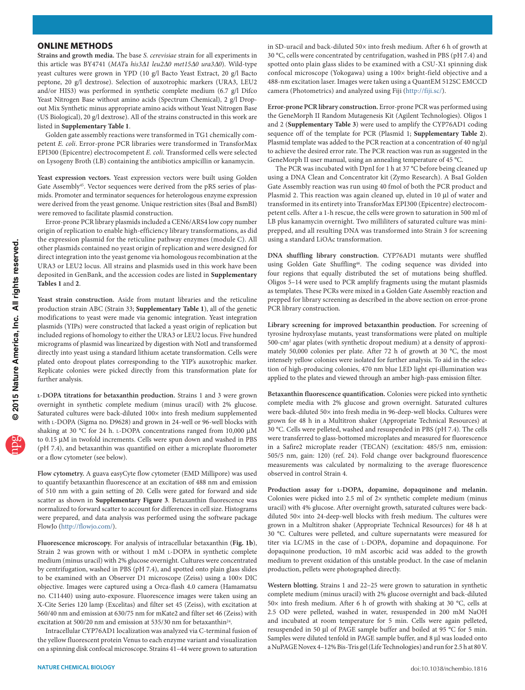### **ONLINE METHODS**

**Strains and growth media.** The base *S. cerevisiae* strain for all experiments in this article was BY4741 (*MAT*a *his3*Δ*1 leu2*Δ*0 met15*Δ*0 ura3*Δ*0*). Wild-type yeast cultures were grown in YPD (10 g/l Bacto Yeast Extract, 20 g/l Bacto peptone, 20 g/l dextrose). Selection of auxotrophic markers (URA3, LEU2 and/or HIS3) was performed in synthetic complete medium (6.7 g/l Difco Yeast Nitrogen Base without amino acids (Spectrum Chemical), 2 g/l Dropout Mix Synthetic minus appropriate amino acids without Yeast Nitrogen Base (US Biological), 20 g/l dextrose). All of the strains constructed in this work are listed in **Supplementary Table 1**.

Golden gate assembly reactions were transformed in TG1 chemically competent *E. coli*. Error-prone PCR libraries were transformed in TransforMax EPI300 (Epicentre) electrocompetent *E. coli*. Transformed cells were selected on Lysogeny Broth (LB) containing the antibiotics ampicillin or kanamycin.

**Yeast expression vectors.** Yeast expression vectors were built using Golden Gate Assembly[45](#page-8-0) . Vector sequences were derived from the pRS series of plasmids. Promoter and terminator sequences for heterologous enzyme expression were derived from the yeast genome. Unique restriction sites (BsaI and BsmBI) were removed to facilitate plasmid construction.

Error-prone PCR library plasmids included a CEN6/ARS4 low copy number origin of replication to enable high-efficiency library transformations, as did the expression plasmid for the reticuline pathway enzymes (module C). All other plasmids contained no yeast origin of replication and were designed for direct integration into the yeast genome via homologous recombination at the URA3 or LEU2 locus. All strains and plasmids used in this work have been deposited in GenBank, and the accession codes are listed in **Supplementary Tables 1** and **2**.

**Yeast strain construction.** Aside from mutant libraries and the reticuline production strain ABC (Strain 33; **Supplementary Table 1**), all of the genetic modifications to yeast were made via genomic integration. Yeast integration plasmids (YIPs) were constructed that lacked a yeast origin of replication but included regions of homology to either the URA3 or LEU2 locus. Five hundred micrograms of plasmid was linearized by digestion with NotI and transformed directly into yeast using a standard lithium acetate transformation. Cells were plated onto dropout plates corresponding to the YIP's auxotrophic marker. Replicate colonies were picked directly from this transformation plate for further analysis.

**<sup>L</sup>-DOPA titrations for betaxanthin production.** Strains 1 and 3 were grown overnight in synthetic complete medium (minus uracil) with 2% glucose. Saturated cultures were back-diluted 100× into fresh medium supplemented with L-DOPA (Sigma no. D9628) and grown in 24-well or 96-well blocks with shaking at 30 °C for 24 h. L-DOPA concentrations ranged from 10,000 μM to 0.15 μM in twofold increments. Cells were spun down and washed in PBS (pH 7.4), and betaxanthin was quantified on either a microplate fluorometer or a flow cytometer (see below).

**Flow cytometry.** A guava easyCyte flow cytometer (EMD Millipore) was used to quantify betaxanthin fluorescence at an excitation of 488 nm and emission of 510 nm with a gain setting of 20. Cells were gated for forward and side scatter as shown in **Supplementary Figure 3**. Betaxanthin fluorescence was normalized to forward scatter to account for differences in cell size. Histograms were prepared, and data analysis was performed using the software package FlowJo [\(http://flowjo.com/\)](http://flowjo.com/).

**Fluorescence microscopy.** For analysis of intracellular betaxanthin (**[Fig. 1b](#page-2-0)**), Strain 2 was grown with or without 1 mM L-DOPA in synthetic complete medium (minus uracil) with 2% glucose overnight. Cultures were concentrated by centrifugation, washed in PBS (pH 7.4), and spotted onto plain glass slides to be examined with an Observer D1 microscope (Zeiss) using a 100× DIC objective. Images were captured using a Orca-flash 4.0 camera (Hamamatsu no. C11440) using auto-exposure. Fluorescence images were taken using an X-Cite Series 120 lamp (Excelitas) and filter set 45 (Zeiss), with excitation at 560/40 nm and emission at 630/75 nm for mKate2 and filter set 46 (Zeiss) with excitation at 500/20 nm and emission at 535/30 nm for betaxanthin<sup>24</sup>.

Intracellular CYP76AD1 localization was analyzed via C-terminal fusion of the yellow fluorescent protein Venus to each enzyme variant and visualization on a spinning disk confocal microscope. Strains 41–44 were grown to saturation

in SD-uracil and back-diluted 50× into fresh medium. After 6 h of growth at 30 °C, cells were concentrated by centrifugation, washed in PBS (pH 7.4) and spotted onto plain glass slides to be examined with a CSU-X1 spinning disk confocal microscope (Yokogawa) using a 100× bright-field objective and a 488-nm excitation laser. Images were taken using a QuantEM 512SC EMCCD camera (Photometrics) and analyzed using Fiji [\(http://fiji.sc/](http://fiji.sc/)).

**Error-prone PCR library construction.** Error-prone PCR was performed using the GeneMorph II Random Mutagenesis Kit (Agilent Technologies). Oligos 1 and 2 (**Supplementary Table 3**) were used to amplify the CYP76AD1 coding sequence off of the template for PCR (Plasmid 1; **Supplementary Table 2**). Plasmid template was added to the PCR reaction at a concentration of 40 ng/μl to achieve the desired error rate. The PCR reaction was run as suggested in the GeneMorph II user manual, using an annealing temperature of 45 °C.

The PCR was incubated with DpnI for 1 h at 37 °C before being cleaned up using a DNA Clean and Concentrator kit (Zymo Research). A BsaI Golden Gate Assembly reaction was run using 40 fmol of both the PCR product and Plasmid 2. This reaction was again cleaned up, eluted in 10 μl of water and transformed in its entirety into TransforMax EPI300 (Epicentre) electrocompetent cells. After a 1-h rescue, the cells were grown to saturation in 500 ml of LB plus kanamycin overnight. Two milliliters of saturated culture was miniprepped, and all resulting DNA was transformed into Strain 3 for screening using a standard LiOAc transformation.

**DNA shuffling library construction.** CYP76AD1 mutants were shuffled using Golden Gate Shuffling<sup>[4](#page-8-1)6</sup>. The coding sequence was divided into four regions that equally distributed the set of mutations being shuffled. Oligos 5–14 were used to PCR amplify fragments using the mutant plasmids as templates. These PCRs were mixed in a Golden Gate Assembly reaction and prepped for library screening as described in the above section on error-prone PCR library construction.

**Library screening for improved betaxanthin production.** For screening of tyrosine hydroxylase mutants, yeast transformations were plated on multiple 500-cm2 agar plates (with synthetic dropout medium) at a density of approximately 50,000 colonies per plate. After 72 h of growth at 30 °C, the most intensely yellow colonies were isolated for further analysis. To aid in the selection of high-producing colonies, 470 nm blue LED light epi*-*illumination was applied to the plates and viewed through an amber high-pass emission filter.

**Betaxanthin fluorescence quantification.** Colonies were picked into synthetic complete media with 2% glucose and grown overnight. Saturated cultures were back-diluted 50× into fresh media in 96-deep-well blocks. Cultures were grown for 48 h in a Multitron shaker (Appropriate Technical Resources) at 30 °C. Cells were pelleted, washed and resuspended in PBS (pH 7.4). The cells were transferred to glass-bottomed microplates and measured for fluorescence in a Safire2 microplate reader (TECAN) (excitation: 485/5 nm, emission: 505/5 nm, gain: 120) (ref. [24](#page-6-22)). Fold change over background fluorescence measurements was calculated by normalizing to the average fluorescence observed in control Strain 4.

**Production assay for L-DOPA, dopamine, dopaquinone and melanin.** Colonies were picked into 2.5 ml of  $2\times$  synthetic complete medium (minus uracil) with 4% glucose. After overnight growth, saturated cultures were backdiluted 50× into 24-deep-well blocks with fresh medium. The cultures were grown in a Multitron shaker (Appropriate Technical Resources) for 48 h at 30 °C. Cultures were pelleted, and culture supernatants were measured for titer via LC/MS in the case of L-DOPA, dopamine and dopaquinone. For dopaquinone production, 10 mM ascorbic acid was added to the growth medium to prevent oxidation of this unstable product. In the case of melanin production, pellets were photographed directly.

**Western blotting.** Strains 1 and 22–25 were grown to saturation in synthetic complete medium (minus uracil) with 2% glucose overnight and back-diluted 50 $\times$  into fresh medium. After 6 h of growth with shaking at 30 °C, cells at 2.5 OD were pelleted, washed in water, resuspended in 200 mM NaOH and incubated at room temperature for 5 min. Cells were again pelleted, resuspended in 50 μl of PAGE sample buffer and boiled at 95 °C for 5 min. Samples were diluted tenfold in PAGE sample buffer, and 8 μl was loaded onto a NuPAGE Novex 4–12% Bis-Tris gel (Life Technologies) and run for 2.5 h at 80 V.